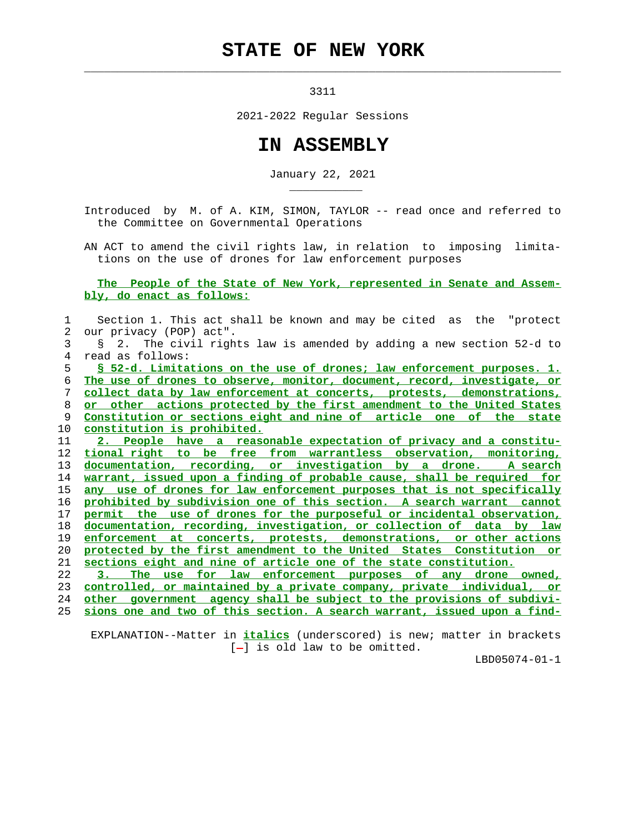## **STATE OF NEW YORK**

 $\mathcal{L}_\text{max} = \frac{1}{2} \sum_{i=1}^{n} \frac{1}{2} \sum_{i=1}^{n} \frac{1}{2} \sum_{i=1}^{n} \frac{1}{2} \sum_{i=1}^{n} \frac{1}{2} \sum_{i=1}^{n} \frac{1}{2} \sum_{i=1}^{n} \frac{1}{2} \sum_{i=1}^{n} \frac{1}{2} \sum_{i=1}^{n} \frac{1}{2} \sum_{i=1}^{n} \frac{1}{2} \sum_{i=1}^{n} \frac{1}{2} \sum_{i=1}^{n} \frac{1}{2} \sum_{i=1}^{n} \frac{1$ 

\_\_\_\_\_\_\_\_\_\_\_

3311

2021-2022 Regular Sessions

## **IN ASSEMBLY**

January 22, 2021

 Introduced by M. of A. KIM, SIMON, TAYLOR -- read once and referred to the Committee on Governmental Operations

 AN ACT to amend the civil rights law, in relation to imposing limita tions on the use of drones for law enforcement purposes

## **The People of the State of New York, represented in Senate and Assem bly, do enact as follows:**

| Section 1. This act shall be known and may be cited as the "protect      |
|--------------------------------------------------------------------------|
| our privacy (POP) act".                                                  |
| § 2. The civil rights law is amended by adding a new section 52-d to     |
| read as follows:                                                         |
| § 52-d. Limitations on the use of drones; law enforcement purposes. 1.   |
| The use of drones to observe, monitor, document, record, investigate, or |
| collect data by law enforcement at concerts, protests, demonstrations,   |
| or other actions protected by the first amendment to the United States   |
| Constitution or sections eight and nine of article one of the state      |
| constitution is prohibited.                                              |
| 2. People have a reasonable expectation of privacy and a constitu-       |
| tional right to be free from warrantless observation, monitoring,        |
| documentation, recording, or investigation by a drone.<br>A search       |
| warrant, issued upon a finding of probable cause, shall be required for  |
| any use of drones for law enforcement purposes that is not specifically  |
| prohibited by subdivision one of this section. A search warrant cannot   |
| permit the use of drones for the purposeful or incidental observation,   |
| documentation, recording, investigation, or collection of data by law    |
| enforcement at concerts, protests, demonstrations, or other actions      |
| protected by the first amendment to the United States Constitution or    |
| sections eight and nine of article one of the state constitution.        |
| The use for law enforcement purposes of any drone owned,                 |
| controlled, or maintained by a private company, private individual, or   |
| other government agency shall be subject to the provisions of subdivi-   |
| sions one and two of this section. A search warrant, issued upon a find- |
|                                                                          |

 EXPLANATION--Matter in **italics** (underscored) is new; matter in brackets [-] is old law to be omitted.

LBD05074-01-1